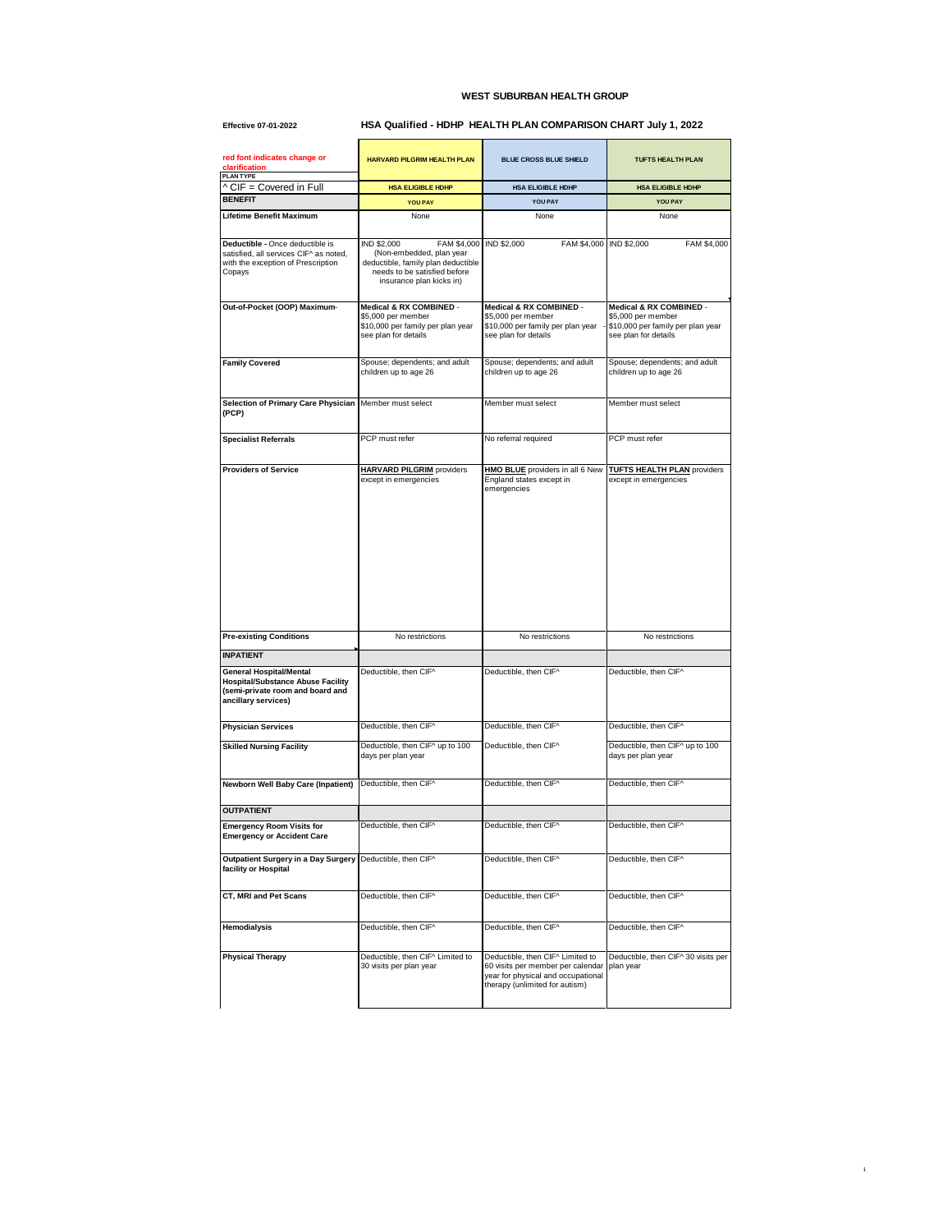## **WEST SUBURBAN HEALTH GROUP**

## **Effective 07-01-2022 HSA Qualified - HDHP HEALTH PLAN COMPARISON CHART July 1, 2022**

| red font indicates change or<br>clarification<br><b>PLANTYPE</b>                                                                      | <b>HARVARD PILGRIM HEALTH PLAN</b>                                                                                                                       | <b>BLUE CROSS BLUE SHIELD</b>                                                                                                                 | <b>TUFTS HEALTH PLAN</b>                                                        |
|---------------------------------------------------------------------------------------------------------------------------------------|----------------------------------------------------------------------------------------------------------------------------------------------------------|-----------------------------------------------------------------------------------------------------------------------------------------------|---------------------------------------------------------------------------------|
| ^ CIF = Covered in Full                                                                                                               | <b>HSA ELIGIBLE HDHP</b>                                                                                                                                 | HSA ELIGIBLE HDHP                                                                                                                             | <b>HSA ELIGIBLE HDHP</b>                                                        |
| <b>BENEFIT</b>                                                                                                                        | <b>YOU PAY</b>                                                                                                                                           | YOU PAY                                                                                                                                       | YOU PAY                                                                         |
| <b>Lifetime Benefit Maximum</b>                                                                                                       | None                                                                                                                                                     | None                                                                                                                                          | None                                                                            |
|                                                                                                                                       |                                                                                                                                                          |                                                                                                                                               |                                                                                 |
| Deductible - Once deductible is<br>satisfied, all services CIF^ as noted,<br>with the exception of Prescription<br>Copays             | IND \$2,000<br>FAM \$4,000<br>(Non-embedded, plan year<br>deductible, family plan deductible<br>needs to be satisfied before<br>insurance plan kicks in) | <b>IND \$2,000</b><br>FAM \$4,000                                                                                                             | IND \$2,000<br>FAM \$4,000                                                      |
| Out-of-Pocket (OOP) Maximum-                                                                                                          | Medical & RX COMBINED -                                                                                                                                  | Medical & RX COMBINED -                                                                                                                       | Medical & RX COMBINED -                                                         |
|                                                                                                                                       | \$5,000 per member<br>\$10,000 per family per plan year<br>see plan for details                                                                          | \$5,000 per member<br>\$10,000 per family per plan year<br>see plan for details                                                               | \$5,000 per member<br>\$10,000 per family per plan year<br>see plan for details |
| <b>Family Covered</b>                                                                                                                 | Spouse; dependents; and adult                                                                                                                            | Spouse; dependents; and adult                                                                                                                 | Spouse; dependents; and adult                                                   |
|                                                                                                                                       | children up to age 26                                                                                                                                    | children up to age 26                                                                                                                         | children up to age 26                                                           |
| Selection of Primary Care Physician                                                                                                   | Member must select                                                                                                                                       | Member must select                                                                                                                            | Member must select                                                              |
| (PCP)                                                                                                                                 |                                                                                                                                                          |                                                                                                                                               |                                                                                 |
|                                                                                                                                       |                                                                                                                                                          |                                                                                                                                               |                                                                                 |
| <b>Specialist Referrals</b>                                                                                                           | PCP must refer                                                                                                                                           | No referral required                                                                                                                          | PCP must refer                                                                  |
|                                                                                                                                       |                                                                                                                                                          |                                                                                                                                               |                                                                                 |
| <b>Providers of Service</b>                                                                                                           | <b>HARVARD PILGRIM</b> providers<br>except in emergencies                                                                                                | HMO BLUE providers in all 6 New<br>England states except in<br>emergencies                                                                    | <b>TUFTS HEALTH PLAN providers</b><br>except in emergencies                     |
| <b>Pre-existing Conditions</b>                                                                                                        | No restrictions                                                                                                                                          | No restrictions                                                                                                                               | No restrictions                                                                 |
| <b>INPATIENT</b>                                                                                                                      |                                                                                                                                                          |                                                                                                                                               |                                                                                 |
| <b>General Hospital/Mental</b><br><b>Hospital/Substance Abuse Facility</b><br>(semi-private room and board and<br>ancillary services) | Deductible, then CIF^                                                                                                                                    | Deductible, then CIF^                                                                                                                         | Deductible, then CIF^                                                           |
| <b>Physician Services</b>                                                                                                             | Deductible, then CIF^                                                                                                                                    | Deductible, then CIF^                                                                                                                         | Deductible, then CIF^                                                           |
|                                                                                                                                       |                                                                                                                                                          |                                                                                                                                               |                                                                                 |
| <b>Skilled Nursing Facility</b>                                                                                                       | Deductible, then CIF^ up to 100<br>days per plan year                                                                                                    | Deductible, then CIF^                                                                                                                         | Deductible, then CIF^ up to 100<br>days per plan year                           |
| <b>Newborn Well Baby Care (Inpatient)</b>                                                                                             | Deductible, then CIF^                                                                                                                                    | Deductible, then CIF^                                                                                                                         | Deductible, then CIF^                                                           |
| <b>OUTPATIENT</b>                                                                                                                     |                                                                                                                                                          |                                                                                                                                               |                                                                                 |
| <b>Emergency Room Visits for</b><br><b>Emergency or Accident Car</b>                                                                  | Deductible, then CIF^                                                                                                                                    | Deductible, then CIF^                                                                                                                         | Deductible, then CIF^                                                           |
| Outpatient Surgery in a Day Surgery<br>facility or Hospital                                                                           | Deductible, then CIF^                                                                                                                                    | Deductible, then CIF^                                                                                                                         | Deductible, then CIF^                                                           |
| CT, MRI and Pet Scans                                                                                                                 | Deductible, then CIF^                                                                                                                                    | Deductible, then CIF^                                                                                                                         | Deductible, then CIF^                                                           |
| <b>Hemodialysis</b>                                                                                                                   | Deductible, then CIF^                                                                                                                                    | Deductible, then CIF^                                                                                                                         | Deductible, then CIF^                                                           |
| <b>Physical Therapy</b>                                                                                                               | Deductible, then CIF^ Limited to<br>30 visits per plan year                                                                                              | Deductible, then CIF^ Limited to<br>60 visits per member per calendar<br>year for physical and occupational<br>therapy (unlimited for autism) | Deductible, then CIF^ 30 visits per<br>plan year                                |

1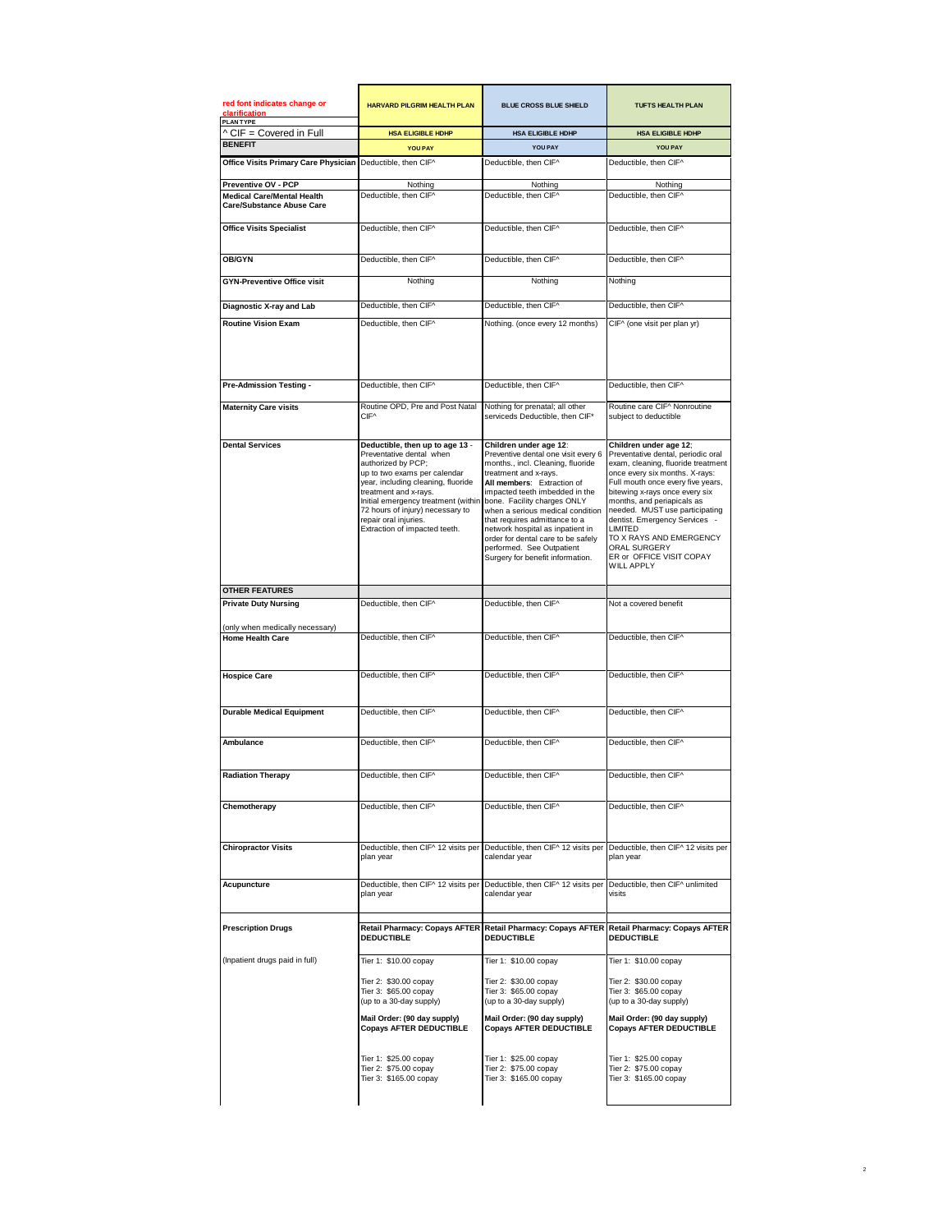| red font indicates change or<br><b>PLANTYPE</b>                       | <b>HARVARD PILGRIM HEALTH PLAN</b>                                                                                                                                                                                                                                                                                    | <b>BLUE CROSS BLUE SHIELD</b>                                                                                                                                                                                                                                                                                                                                                                                                              | <b>TUFTS HEALTH PLAN</b>                                                                                                                                                                                                                                                                                                                                                                                            |
|-----------------------------------------------------------------------|-----------------------------------------------------------------------------------------------------------------------------------------------------------------------------------------------------------------------------------------------------------------------------------------------------------------------|--------------------------------------------------------------------------------------------------------------------------------------------------------------------------------------------------------------------------------------------------------------------------------------------------------------------------------------------------------------------------------------------------------------------------------------------|---------------------------------------------------------------------------------------------------------------------------------------------------------------------------------------------------------------------------------------------------------------------------------------------------------------------------------------------------------------------------------------------------------------------|
| ^ CIF = Covered in Full                                               | <b>HSA ELIGIBLE HDHP</b>                                                                                                                                                                                                                                                                                              | HSA ELIGIBLE HDHP                                                                                                                                                                                                                                                                                                                                                                                                                          | HSA ELIGIBLE HDHP                                                                                                                                                                                                                                                                                                                                                                                                   |
| <b>BENEFIT</b>                                                        | <b>YOU PAY</b>                                                                                                                                                                                                                                                                                                        | YOU PAY                                                                                                                                                                                                                                                                                                                                                                                                                                    | YOU PAY                                                                                                                                                                                                                                                                                                                                                                                                             |
| Office Visits Primary Care Physician                                  | Deductible, then CIF^                                                                                                                                                                                                                                                                                                 | Deductible, then CIF^                                                                                                                                                                                                                                                                                                                                                                                                                      | Deductible, then CIF^                                                                                                                                                                                                                                                                                                                                                                                               |
| Preventive OV - PCP                                                   | Nothing                                                                                                                                                                                                                                                                                                               | Nothing                                                                                                                                                                                                                                                                                                                                                                                                                                    | Nothing                                                                                                                                                                                                                                                                                                                                                                                                             |
| <b>Medical Care/Mental Health</b><br><b>Care/Substance Abuse Care</b> | Deductible, then CIF^                                                                                                                                                                                                                                                                                                 | Deductible, then CIF^                                                                                                                                                                                                                                                                                                                                                                                                                      | Deductible, then CIF^                                                                                                                                                                                                                                                                                                                                                                                               |
| <b>Office Visits Specialist</b>                                       | Deductible, then CIF^                                                                                                                                                                                                                                                                                                 | Deductible, then CIF^                                                                                                                                                                                                                                                                                                                                                                                                                      | Deductible, then CIF^                                                                                                                                                                                                                                                                                                                                                                                               |
| <b>OB/GYN</b>                                                         | Deductible, then CIF^                                                                                                                                                                                                                                                                                                 | Deductible, then CIF^                                                                                                                                                                                                                                                                                                                                                                                                                      | Deductible, then CIF^                                                                                                                                                                                                                                                                                                                                                                                               |
| <b>GYN-Preventive Office visit</b>                                    | Nothing                                                                                                                                                                                                                                                                                                               | Nothing                                                                                                                                                                                                                                                                                                                                                                                                                                    | Nothing                                                                                                                                                                                                                                                                                                                                                                                                             |
| Diagnostic X-ray and Lab                                              | Deductible, then CIF^                                                                                                                                                                                                                                                                                                 | Deductible, then CIF^                                                                                                                                                                                                                                                                                                                                                                                                                      | Deductible, then CIF^                                                                                                                                                                                                                                                                                                                                                                                               |
| <b>Routine Vision Exam</b>                                            | Deductible, then CIF^                                                                                                                                                                                                                                                                                                 | Nothing. (once every 12 months)                                                                                                                                                                                                                                                                                                                                                                                                            | CIF^ (one visit per plan yr)                                                                                                                                                                                                                                                                                                                                                                                        |
| Pre-Admission Testing -                                               | Deductible, then CIF^                                                                                                                                                                                                                                                                                                 | Deductible, then CIF^                                                                                                                                                                                                                                                                                                                                                                                                                      | Deductible, then CIF^                                                                                                                                                                                                                                                                                                                                                                                               |
| <b>Maternity Care visits</b>                                          | Routine OPD, Pre and Post Natal<br>CIF <sup>^</sup>                                                                                                                                                                                                                                                                   | Nothing for prenatal; all other<br>serviceds Deductible, then CIF*                                                                                                                                                                                                                                                                                                                                                                         | Routine care CIF^ Nonroutine<br>subject to deductible                                                                                                                                                                                                                                                                                                                                                               |
| <b>Dental Services</b>                                                | Deductible, then up to age 13 -<br>Preventative dental when<br>authorized by PCP;<br>up to two exams per calendar<br>vear, including cleaning, fluoride<br>treatment and x-rays.<br>Initial emergency treatment (withir<br>72 hours of injury) necessary to<br>repair oral iniuries.<br>Extraction of impacted teeth. | Children under age 12:<br>Preventive dental one visit every 6<br>months., incl. Cleaning, fluoride<br>treatment and x-ravs.<br>All members: Extraction of<br>impacted teeth imbedded in the<br>bone. Facility charges ONLY<br>when a serious medical condition<br>that requires admittance to a<br>network hospital as inpatient in<br>order for dental care to be safely<br>performed. See Outpatient<br>Surgery for benefit information. | Children under age 12;<br>Preventative dental, periodic oral<br>exam, cleaning, fluoride treatment<br>once every six months. X-rays:<br>Full mouth once every five years.<br>bitewing x-rays once every six<br>months, and periapicals as<br>needed. MUST use participating<br>dentist. Emergency Services -<br>LIMITED<br>TO X RAYS AND EMERGENCY<br>ORAL SURGERY<br>ER or OFFICE VISIT COPAY<br><b>WILL APPLY</b> |
| <b>OTHER FEATURES</b>                                                 |                                                                                                                                                                                                                                                                                                                       |                                                                                                                                                                                                                                                                                                                                                                                                                                            |                                                                                                                                                                                                                                                                                                                                                                                                                     |
| <b>Private Duty Nursing</b>                                           | Deductible, then CIF^                                                                                                                                                                                                                                                                                                 | Deductible, then CIF^                                                                                                                                                                                                                                                                                                                                                                                                                      | Not a covered benefit                                                                                                                                                                                                                                                                                                                                                                                               |
| (only when medically necessary)                                       |                                                                                                                                                                                                                                                                                                                       |                                                                                                                                                                                                                                                                                                                                                                                                                                            |                                                                                                                                                                                                                                                                                                                                                                                                                     |
| <b>Home Health Care</b>                                               | Deductible, then CIF^                                                                                                                                                                                                                                                                                                 | Deductible, then CIF^                                                                                                                                                                                                                                                                                                                                                                                                                      | Deductible, then CIF^                                                                                                                                                                                                                                                                                                                                                                                               |
| <b>Hospice Care</b>                                                   | Deductible, then CIF^                                                                                                                                                                                                                                                                                                 | Deductible, then CIF^                                                                                                                                                                                                                                                                                                                                                                                                                      | Deductible, then CIF^                                                                                                                                                                                                                                                                                                                                                                                               |
| <b>Durable Medical Equipment</b>                                      | Deductible, then CIF^                                                                                                                                                                                                                                                                                                 | Deductible, then CIF^                                                                                                                                                                                                                                                                                                                                                                                                                      | Deductible, then CIF^                                                                                                                                                                                                                                                                                                                                                                                               |
| Ambulance                                                             | Deductible, then CIF^                                                                                                                                                                                                                                                                                                 | Deductible, then CIF^                                                                                                                                                                                                                                                                                                                                                                                                                      | Deductible, then CIF^                                                                                                                                                                                                                                                                                                                                                                                               |
| <b>Radiation Therapy</b>                                              | Deductible, then CIF^                                                                                                                                                                                                                                                                                                 | Deductible, then CIF^                                                                                                                                                                                                                                                                                                                                                                                                                      | Deductible, then CIF^                                                                                                                                                                                                                                                                                                                                                                                               |
| Chemotherapy                                                          | Deductible, then CIF^                                                                                                                                                                                                                                                                                                 | Deductible, then CIF^                                                                                                                                                                                                                                                                                                                                                                                                                      | Deductible, then CIF^                                                                                                                                                                                                                                                                                                                                                                                               |
| <b>Chiropractor Visits</b>                                            | Deductible, then CIF^ 12 visits per<br>plan year                                                                                                                                                                                                                                                                      | Deductible, then CIF^ 12 visits per<br>calendar year                                                                                                                                                                                                                                                                                                                                                                                       | Deductible, then CIF^ 12 visits per<br>plan year                                                                                                                                                                                                                                                                                                                                                                    |
| Acupuncture                                                           | Deductible, then CIF^ 12 visits per<br>plan year                                                                                                                                                                                                                                                                      | Deductible, then CIF^ 12 visits per<br>calendar year                                                                                                                                                                                                                                                                                                                                                                                       | Deductible, then CIF^ unlimited<br>visits                                                                                                                                                                                                                                                                                                                                                                           |
| <b>Prescription Drugs</b>                                             | <b>Retail Pharmacy: Copays AFTER</b><br><b>DEDUCTIBLE</b>                                                                                                                                                                                                                                                             | <b>Retail Pharmacy: Copays AFTER</b><br><b>DEDUCTIBLE</b>                                                                                                                                                                                                                                                                                                                                                                                  | <b>Retail Pharmacy: Copays AFTER</b><br><b>DEDUCTIBLE</b>                                                                                                                                                                                                                                                                                                                                                           |
| (Inpatient drugs paid in full)                                        | Tier 1: \$10.00 copay                                                                                                                                                                                                                                                                                                 | Tier 1: \$10.00 copay                                                                                                                                                                                                                                                                                                                                                                                                                      | Tier 1: \$10.00 copay                                                                                                                                                                                                                                                                                                                                                                                               |
|                                                                       | Tier 2: \$30.00 copay<br>Tier 3: \$65.00 copay<br>(up to a 30-day supply)                                                                                                                                                                                                                                             | Tier 2: \$30.00 copay<br>Tier 3: \$65.00 copay<br>(up to a 30-day supply)                                                                                                                                                                                                                                                                                                                                                                  | Tier 2: \$30.00 copay<br>Tier 3: \$65.00 copay<br>(up to a 30-day supply)                                                                                                                                                                                                                                                                                                                                           |
|                                                                       | Mail Order: (90 day supply)<br><b>Copays AFTER DEDUCTIBLE</b>                                                                                                                                                                                                                                                         | Mail Order: (90 day supply)<br><b>Copays AFTER DEDUCTIBLE</b>                                                                                                                                                                                                                                                                                                                                                                              | Mail Order: (90 day supply)<br><b>Copays AFTER DEDUCTIBLE</b>                                                                                                                                                                                                                                                                                                                                                       |
|                                                                       | Tier 1: \$25.00 copay<br>Tier 2: \$75.00 copay<br>Tier 3: \$165.00 copay                                                                                                                                                                                                                                              | Tier 1: \$25.00 copay<br>Tier 2: \$75.00 copay<br>Tier 3: \$165.00 copay                                                                                                                                                                                                                                                                                                                                                                   | Tier 1: \$25.00 copay<br>Tier 2: \$75.00 copay<br>Tier 3: \$165.00 copay                                                                                                                                                                                                                                                                                                                                            |

2